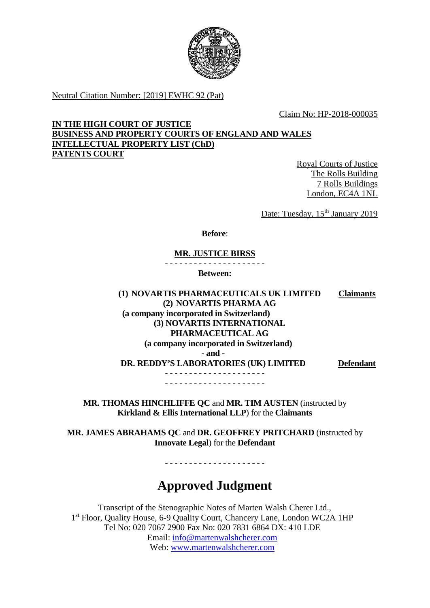

Neutral Citation Number: [2019] EWHC 92 (Pat)

Claim No: HP-2018-000035

**IN THE HIGH COURT OF JUSTICE BUSINESS AND PROPERTY COURTS OF ENGLAND AND WALES INTELLECTUAL PROPERTY LIST (ChD) PATENTS COURT**

> Royal Courts of Justice The Rolls Building 7 Rolls Buildings London, EC4A 1NL

Date: Tuesday, 15<sup>th</sup> January 2019

**Before**:

#### **MR. JUSTICE BIRSS**

- - - - - - - - - - - - - - - - - - - - -

**Between:**

**(1) NOVARTIS PHARMACEUTICALS UK LIMITED (2) NOVARTIS PHARMA AG (a company incorporated in Switzerland) (3) NOVARTIS INTERNATIONAL PHARMACEUTICAL AG (a company incorporated in Switzerland) Claimants - and - DR. REDDY'S LABORATORIES (UK) LIMITED Defendant** - - - - - - - - - - - - - - - - - - - - - - - - - - - - - - - - - - - - - - - - - -

**MR. THOMAS HINCHLIFFE QC** and **MR. TIM AUSTEN** (instructed by **Kirkland & Ellis International LLP**) for the **Claimants**

**MR. JAMES ABRAHAMS QC** and **DR. GEOFFREY PRITCHARD** (instructed by **Innovate Legal**) for the **Defendant**

- - - - - - - - - - - - - - - - - - - - -

# **Approved Judgment**

Transcript of the Stenographic Notes of Marten Walsh Cherer Ltd., 1<sup>st</sup> Floor, Quality House, 6-9 Quality Court, Chancery Lane, London WC2A 1HP Tel No: 020 7067 2900 Fax No: 020 7831 6864 DX: 410 LDE Email: [info@martenwalshcherer.com](mailto:info@martenwalshcherer.com) Web: [www.martenwalshcherer.com](http://www.martenwalshcherer.com/)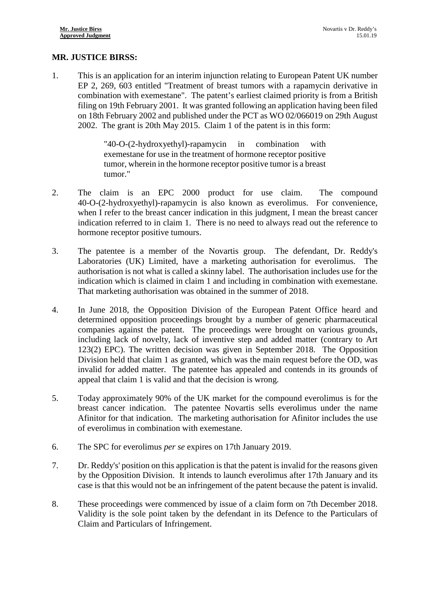## **MR. JUSTICE BIRSS:**

1. This is an application for an interim injunction relating to European Patent UK number EP 2, 269, 603 entitled "Treatment of breast tumors with a rapamycin derivative in combination with exemestane". The patent's earliest claimed priority is from a British filing on 19th February 2001. It was granted following an application having been filed on 18th February 2002 and published under the PCT as WO 02/066019 on 29th August 2002. The grant is 20th May 2015. Claim 1 of the patent is in this form:

> "40-O-(2-hydroxyethyl)-rapamycin in combination with exemestane for use in the treatment of hormone receptor positive tumor, wherein in the hormone receptor positive tumor is a breast tumor."

- 2. The claim is an EPC 2000 product for use claim. The compound 40-O-(2-hydroxyethyl)-rapamycin is also known as everolimus. For convenience, when I refer to the breast cancer indication in this judgment, I mean the breast cancer indication referred to in claim 1. There is no need to always read out the reference to hormone receptor positive tumours.
- 3. The patentee is a member of the Novartis group. The defendant, Dr. Reddy's Laboratories (UK) Limited, have a marketing authorisation for everolimus. The authorisation is not what is called a skinny label. The authorisation includes use for the indication which is claimed in claim 1 and including in combination with exemestane. That marketing authorisation was obtained in the summer of 2018.
- 4. In June 2018, the Opposition Division of the European Patent Office heard and determined opposition proceedings brought by a number of generic pharmaceutical companies against the patent. The proceedings were brought on various grounds, including lack of novelty, lack of inventive step and added matter (contrary to Art 123(2) EPC). The written decision was given in September 2018. The Opposition Division held that claim 1 as granted, which was the main request before the OD, was invalid for added matter. The patentee has appealed and contends in its grounds of appeal that claim 1 is valid and that the decision is wrong.
- 5. Today approximately 90% of the UK market for the compound everolimus is for the breast cancer indication. The patentee Novartis sells everolimus under the name Afinitor for that indication. The marketing authorisation for Afinitor includes the use of everolimus in combination with exemestane.
- 6. The SPC for everolimus *per se* expires on 17th January 2019.
- 7. Dr. Reddy's' position on this application is that the patent is invalid for the reasons given by the Opposition Division. It intends to launch everolimus after 17th January and its case is that this would not be an infringement of the patent because the patent is invalid.
- 8. These proceedings were commenced by issue of a claim form on 7th December 2018. Validity is the sole point taken by the defendant in its Defence to the Particulars of Claim and Particulars of Infringement.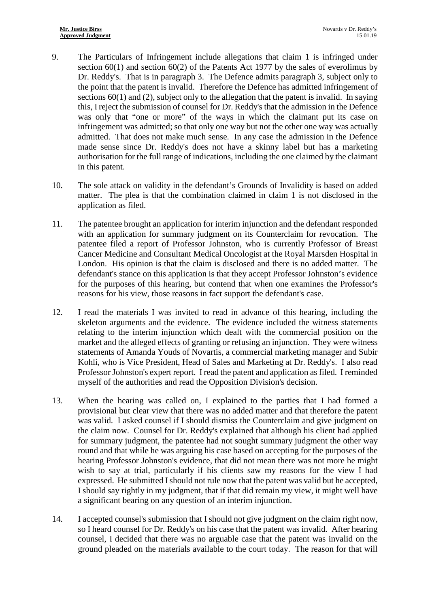- 9. The Particulars of Infringement include allegations that claim 1 is infringed under section 60(1) and section 60(2) of the Patents Act 1977 by the sales of everolimus by Dr. Reddy's. That is in paragraph 3. The Defence admits paragraph 3, subject only to the point that the patent is invalid. Therefore the Defence has admitted infringement of sections  $60(1)$  and (2), subject only to the allegation that the patent is invalid. In saying this, I reject the submission of counsel for Dr. Reddy's that the admission in the Defence was only that "one or more" of the ways in which the claimant put its case on infringement was admitted; so that only one way but not the other one way was actually admitted. That does not make much sense. In any case the admission in the Defence made sense since Dr. Reddy's does not have a skinny label but has a marketing authorisation for the full range of indications, including the one claimed by the claimant in this patent.
- 10. The sole attack on validity in the defendant's Grounds of Invalidity is based on added matter. The plea is that the combination claimed in claim 1 is not disclosed in the application as filed.
- 11. The patentee brought an application for interim injunction and the defendant responded with an application for summary judgment on its Counterclaim for revocation. The patentee filed a report of Professor Johnston, who is currently Professor of Breast Cancer Medicine and Consultant Medical Oncologist at the Royal Marsden Hospital in London. His opinion is that the claim is disclosed and there is no added matter. The defendant's stance on this application is that they accept Professor Johnston's evidence for the purposes of this hearing, but contend that when one examines the Professor's reasons for his view, those reasons in fact support the defendant's case.
- 12. I read the materials I was invited to read in advance of this hearing, including the skeleton arguments and the evidence. The evidence included the witness statements relating to the interim injunction which dealt with the commercial position on the market and the alleged effects of granting or refusing an injunction. They were witness statements of Amanda Youds of Novartis, a commercial marketing manager and Subir Kohli, who is Vice President, Head of Sales and Marketing at Dr. Reddy's. I also read Professor Johnston's expert report. I read the patent and application as filed. I reminded myself of the authorities and read the Opposition Division's decision.
- 13. When the hearing was called on, I explained to the parties that I had formed a provisional but clear view that there was no added matter and that therefore the patent was valid. I asked counsel if I should dismiss the Counterclaim and give judgment on the claim now. Counsel for Dr. Reddy's explained that although his client had applied for summary judgment, the patentee had not sought summary judgment the other way round and that while he was arguing his case based on accepting for the purposes of the hearing Professor Johnston's evidence, that did not mean there was not more he might wish to say at trial, particularly if his clients saw my reasons for the view I had expressed. He submitted I should not rule now that the patent was valid but he accepted, I should say rightly in my judgment, that if that did remain my view, it might well have a significant bearing on any question of an interim injunction.
- 14. I accepted counsel's submission that I should not give judgment on the claim right now, so I heard counsel for Dr. Reddy's on his case that the patent was invalid. After hearing counsel, I decided that there was no arguable case that the patent was invalid on the ground pleaded on the materials available to the court today. The reason for that will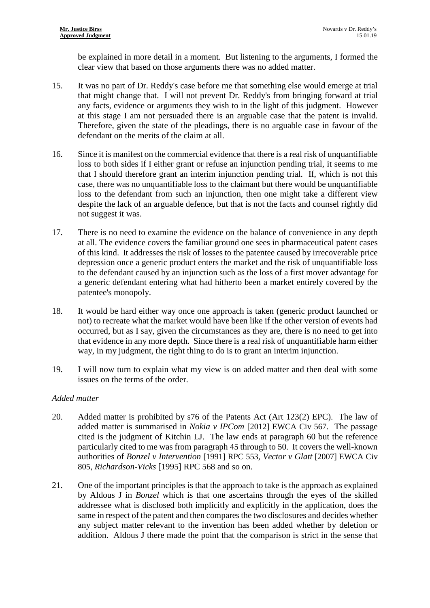be explained in more detail in a moment. But listening to the arguments, I formed the clear view that based on those arguments there was no added matter.

- 15. It was no part of Dr. Reddy's case before me that something else would emerge at trial that might change that. I will not prevent Dr. Reddy's from bringing forward at trial any facts, evidence or arguments they wish to in the light of this judgment. However at this stage I am not persuaded there is an arguable case that the patent is invalid. Therefore, given the state of the pleadings, there is no arguable case in favour of the defendant on the merits of the claim at all.
- 16. Since it is manifest on the commercial evidence that there is a real risk of unquantifiable loss to both sides if I either grant or refuse an injunction pending trial, it seems to me that I should therefore grant an interim injunction pending trial. If, which is not this case, there was no unquantifiable loss to the claimant but there would be unquantifiable loss to the defendant from such an injunction, then one might take a different view despite the lack of an arguable defence, but that is not the facts and counsel rightly did not suggest it was.
- 17. There is no need to examine the evidence on the balance of convenience in any depth at all. The evidence covers the familiar ground one sees in pharmaceutical patent cases of this kind. It addresses the risk of losses to the patentee caused by irrecoverable price depression once a generic product enters the market and the risk of unquantifiable loss to the defendant caused by an injunction such as the loss of a first mover advantage for a generic defendant entering what had hitherto been a market entirely covered by the patentee's monopoly.
- 18. It would be hard either way once one approach is taken (generic product launched or not) to recreate what the market would have been like if the other version of events had occurred, but as I say, given the circumstances as they are, there is no need to get into that evidence in any more depth. Since there is a real risk of unquantifiable harm either way, in my judgment, the right thing to do is to grant an interim injunction.
- 19. I will now turn to explain what my view is on added matter and then deal with some issues on the terms of the order.

## *Added matter*

- 20. Added matter is prohibited by s76 of the Patents Act (Art 123(2) EPC). The law of added matter is summarised in *Nokia v IPCom* [2012] EWCA Civ 567. The passage cited is the judgment of Kitchin LJ. The law ends at paragraph 60 but the reference particularly cited to me was from paragraph 45 through to 50. It covers the well-known authorities of *Bonzel v Intervention* [1991] RPC 553*, Vector v Glatt* [2007] EWCA Civ 805, *Richardson-Vicks* [1995] RPC 568 and so on.
- 21. One of the important principles is that the approach to take is the approach as explained by Aldous J in *Bonzel* which is that one ascertains through the eyes of the skilled addressee what is disclosed both implicitly and explicitly in the application, does the same in respect of the patent and then compares the two disclosures and decides whether any subject matter relevant to the invention has been added whether by deletion or addition. Aldous J there made the point that the comparison is strict in the sense that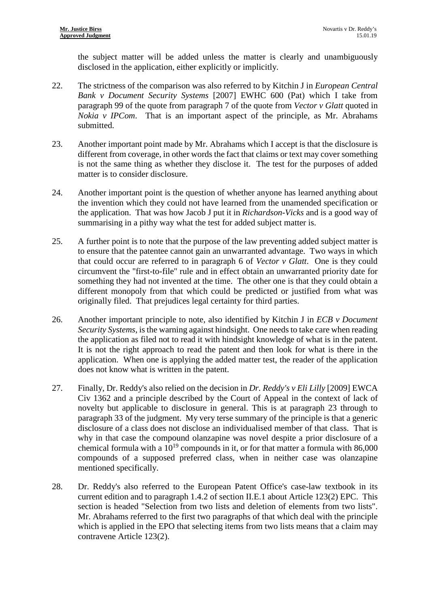the subject matter will be added unless the matter is clearly and unambiguously disclosed in the application, either explicitly or implicitly.

- 22. The strictness of the comparison was also referred to by Kitchin J in *European Central Bank v Document Security Systems* [2007] EWHC 600 (Pat) which I take from paragraph 99 of the quote from paragraph 7 of the quote from *Vector v Glatt* quoted in *Nokia v IPCom*. That is an important aspect of the principle, as Mr. Abrahams submitted.
- 23. Another important point made by Mr. Abrahams which I accept is that the disclosure is different from coverage, in other words the fact that claims or text may cover something is not the same thing as whether they disclose it. The test for the purposes of added matter is to consider disclosure.
- 24. Another important point is the question of whether anyone has learned anything about the invention which they could not have learned from the unamended specification or the application. That was how Jacob J put it in *Richardson-Vicks* and is a good way of summarising in a pithy way what the test for added subject matter is.
- 25. A further point is to note that the purpose of the law preventing added subject matter is to ensure that the patentee cannot gain an unwarranted advantage. Two ways in which that could occur are referred to in paragraph 6 of *Vector v Glatt*. One is they could circumvent the "first-to-file" rule and in effect obtain an unwarranted priority date for something they had not invented at the time. The other one is that they could obtain a different monopoly from that which could be predicted or justified from what was originally filed. That prejudices legal certainty for third parties.
- 26. Another important principle to note, also identified by Kitchin J in *ECB v Document Security Systems*, is the warning against hindsight. One needs to take care when reading the application as filed not to read it with hindsight knowledge of what is in the patent. It is not the right approach to read the patent and then look for what is there in the application. When one is applying the added matter test, the reader of the application does not know what is written in the patent.
- 27. Finally, Dr. Reddy's also relied on the decision in *Dr. Reddy's v Eli Lilly* [2009] EWCA Civ 1362 and a principle described by the Court of Appeal in the context of lack of novelty but applicable to disclosure in general. This is at paragraph 23 through to paragraph 33 of the judgment. My very terse summary of the principle is that a generic disclosure of a class does not disclose an individualised member of that class. That is why in that case the compound olanzapine was novel despite a prior disclosure of a chemical formula with a  $10^{19}$  compounds in it, or for that matter a formula with 86,000 compounds of a supposed preferred class, when in neither case was olanzapine mentioned specifically.
- 28. Dr. Reddy's also referred to the European Patent Office's case-law textbook in its current edition and to paragraph 1.4.2 of section II.E.1 about Article 123(2) EPC. This section is headed "Selection from two lists and deletion of elements from two lists". Mr. Abrahams referred to the first two paragraphs of that which deal with the principle which is applied in the EPO that selecting items from two lists means that a claim may contravene Article 123(2).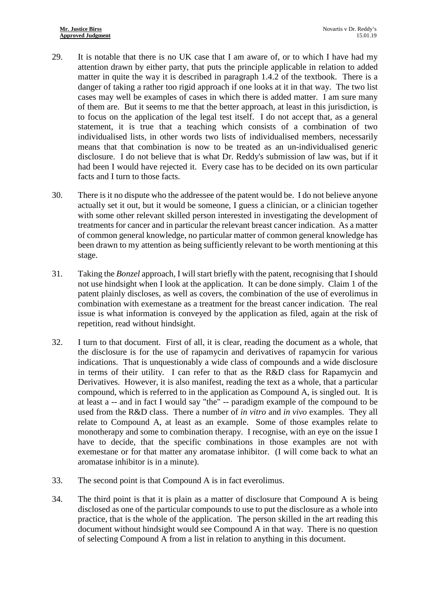- 29. It is notable that there is no UK case that I am aware of, or to which I have had my attention drawn by either party, that puts the principle applicable in relation to added matter in quite the way it is described in paragraph 1.4.2 of the textbook. There is a danger of taking a rather too rigid approach if one looks at it in that way. The two list cases may well be examples of cases in which there is added matter. I am sure many of them are. But it seems to me that the better approach, at least in this jurisdiction, is to focus on the application of the legal test itself. I do not accept that, as a general statement, it is true that a teaching which consists of a combination of two individualised lists, in other words two lists of individualised members, necessarily means that that combination is now to be treated as an un-individualised generic disclosure. I do not believe that is what Dr. Reddy's submission of law was, but if it had been I would have rejected it. Every case has to be decided on its own particular facts and I turn to those facts.
- 30. There is it no dispute who the addressee of the patent would be. I do not believe anyone actually set it out, but it would be someone, I guess a clinician, or a clinician together with some other relevant skilled person interested in investigating the development of treatments for cancer and in particular the relevant breast cancer indication. As a matter of common general knowledge, no particular matter of common general knowledge has been drawn to my attention as being sufficiently relevant to be worth mentioning at this stage.
- 31. Taking the *Bonzel* approach, I will start briefly with the patent, recognising that I should not use hindsight when I look at the application. It can be done simply. Claim 1 of the patent plainly discloses, as well as covers, the combination of the use of everolimus in combination with exemestane as a treatment for the breast cancer indication. The real issue is what information is conveyed by the application as filed, again at the risk of repetition, read without hindsight.
- 32. I turn to that document. First of all, it is clear, reading the document as a whole, that the disclosure is for the use of rapamycin and derivatives of rapamycin for various indications. That is unquestionably a wide class of compounds and a wide disclosure in terms of their utility. I can refer to that as the R&D class for Rapamycin and Derivatives. However, it is also manifest, reading the text as a whole, that a particular compound, which is referred to in the application as Compound A, is singled out. It is at least a -- and in fact I would say "the" -- paradigm example of the compound to be used from the R&D class. There a number of *in vitro* and *in vivo* examples. They all relate to Compound A, at least as an example. Some of those examples relate to monotherapy and some to combination therapy. I recognise, with an eye on the issue I have to decide, that the specific combinations in those examples are not with exemestane or for that matter any aromatase inhibitor. (I will come back to what an aromatase inhibitor is in a minute).
- 33. The second point is that Compound A is in fact everolimus.
- 34. The third point is that it is plain as a matter of disclosure that Compound A is being disclosed as one of the particular compounds to use to put the disclosure as a whole into practice, that is the whole of the application. The person skilled in the art reading this document without hindsight would see Compound A in that way. There is no question of selecting Compound A from a list in relation to anything in this document.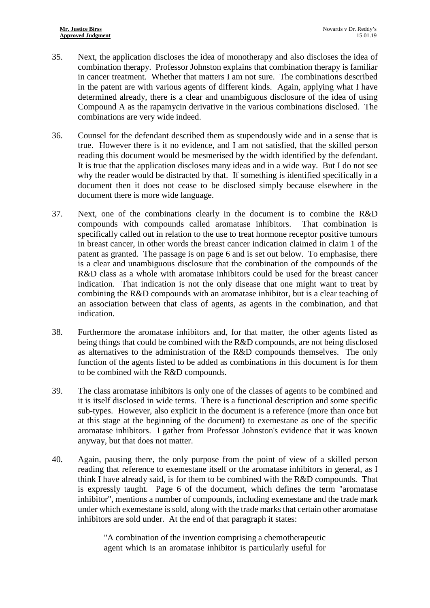- 35. Next, the application discloses the idea of monotherapy and also discloses the idea of combination therapy. Professor Johnston explains that combination therapy is familiar in cancer treatment. Whether that matters I am not sure. The combinations described in the patent are with various agents of different kinds. Again, applying what I have determined already, there is a clear and unambiguous disclosure of the idea of using Compound A as the rapamycin derivative in the various combinations disclosed. The combinations are very wide indeed.
- 36. Counsel for the defendant described them as stupendously wide and in a sense that is true. However there is it no evidence, and I am not satisfied, that the skilled person reading this document would be mesmerised by the width identified by the defendant. It is true that the application discloses many ideas and in a wide way. But I do not see why the reader would be distracted by that. If something is identified specifically in a document then it does not cease to be disclosed simply because elsewhere in the document there is more wide language.
- 37. Next, one of the combinations clearly in the document is to combine the R&D compounds with compounds called aromatase inhibitors. That combination is specifically called out in relation to the use to treat hormone receptor positive tumours in breast cancer, in other words the breast cancer indication claimed in claim 1 of the patent as granted. The passage is on page 6 and is set out below. To emphasise, there is a clear and unambiguous disclosure that the combination of the compounds of the R&D class as a whole with aromatase inhibitors could be used for the breast cancer indication. That indication is not the only disease that one might want to treat by combining the R&D compounds with an aromatase inhibitor, but is a clear teaching of an association between that class of agents, as agents in the combination, and that indication.
- 38. Furthermore the aromatase inhibitors and, for that matter, the other agents listed as being things that could be combined with the R&D compounds, are not being disclosed as alternatives to the administration of the R&D compounds themselves. The only function of the agents listed to be added as combinations in this document is for them to be combined with the R&D compounds.
- 39. The class aromatase inhibitors is only one of the classes of agents to be combined and it is itself disclosed in wide terms. There is a functional description and some specific sub-types. However, also explicit in the document is a reference (more than once but at this stage at the beginning of the document) to exemestane as one of the specific aromatase inhibitors. I gather from Professor Johnston's evidence that it was known anyway, but that does not matter.
- 40. Again, pausing there, the only purpose from the point of view of a skilled person reading that reference to exemestane itself or the aromatase inhibitors in general, as I think I have already said, is for them to be combined with the R&D compounds. That is expressly taught. Page 6 of the document, which defines the term "aromatase inhibitor", mentions a number of compounds, including exemestane and the trade mark under which exemestane is sold, along with the trade marks that certain other aromatase inhibitors are sold under. At the end of that paragraph it states:

"A combination of the invention comprising a chemotherapeutic agent which is an aromatase inhibitor is particularly useful for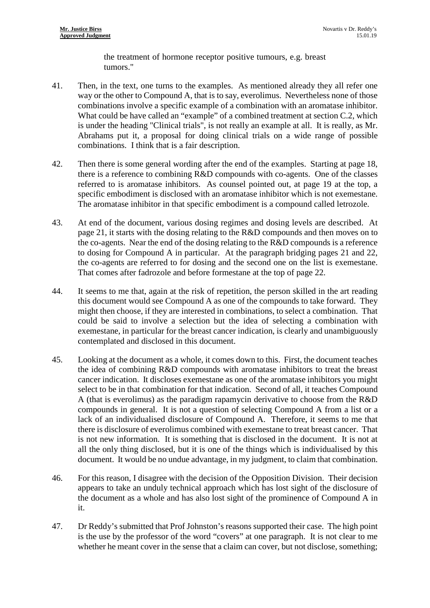the treatment of hormone receptor positive tumours, e.g. breast tumors."

- 41. Then, in the text, one turns to the examples. As mentioned already they all refer one way or the other to Compound A, that is to say, everolimus. Nevertheless none of those combinations involve a specific example of a combination with an aromatase inhibitor. What could be have called an "example" of a combined treatment at section C.2, which is under the heading "Clinical trials", is not really an example at all. It is really, as Mr. Abrahams put it, a proposal for doing clinical trials on a wide range of possible combinations. I think that is a fair description.
- 42. Then there is some general wording after the end of the examples. Starting at page 18, there is a reference to combining R&D compounds with co-agents. One of the classes referred to is aromatase inhibitors. As counsel pointed out, at page 19 at the top, a specific embodiment is disclosed with an aromatase inhibitor which is not exemestane. The aromatase inhibitor in that specific embodiment is a compound called letrozole.
- 43. At end of the document, various dosing regimes and dosing levels are described. At page 21, it starts with the dosing relating to the R&D compounds and then moves on to the co-agents. Near the end of the dosing relating to the R&D compounds is a reference to dosing for Compound A in particular. At the paragraph bridging pages 21 and 22, the co-agents are referred to for dosing and the second one on the list is exemestane. That comes after fadrozole and before formestane at the top of page 22.
- 44. It seems to me that, again at the risk of repetition, the person skilled in the art reading this document would see Compound A as one of the compounds to take forward. They might then choose, if they are interested in combinations, to select a combination. That could be said to involve a selection but the idea of selecting a combination with exemestane, in particular for the breast cancer indication, is clearly and unambiguously contemplated and disclosed in this document.
- 45. Looking at the document as a whole, it comes down to this. First, the document teaches the idea of combining R&D compounds with aromatase inhibitors to treat the breast cancer indication. It discloses exemestane as one of the aromatase inhibitors you might select to be in that combination for that indication. Second of all, it teaches Compound A (that is everolimus) as the paradigm rapamycin derivative to choose from the R&D compounds in general. It is not a question of selecting Compound A from a list or a lack of an individualised disclosure of Compound A. Therefore, it seems to me that there is disclosure of everolimus combined with exemestane to treat breast cancer. That is not new information. It is something that is disclosed in the document. It is not at all the only thing disclosed, but it is one of the things which is individualised by this document. It would be no undue advantage, in my judgment, to claim that combination.
- 46. For this reason, I disagree with the decision of the Opposition Division. Their decision appears to take an unduly technical approach which has lost sight of the disclosure of the document as a whole and has also lost sight of the prominence of Compound A in it.
- 47. Dr Reddy's submitted that Prof Johnston's reasons supported their case. The high point is the use by the professor of the word "covers" at one paragraph. It is not clear to me whether he meant cover in the sense that a claim can cover, but not disclose, something;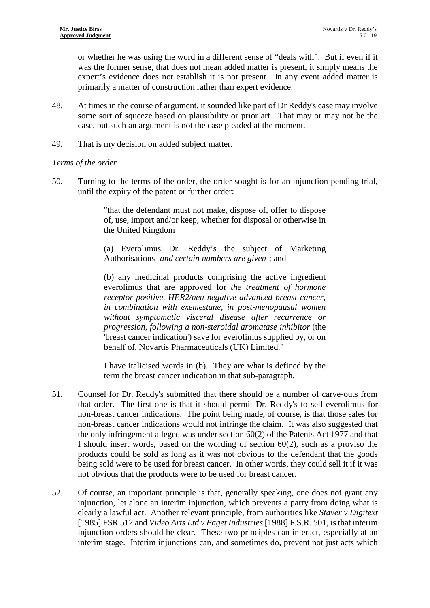or whether he was using the word in a different sense of "deals with". But if even if it was the former sense, that does not mean added matter is present, it simply means the expert's evidence does not establish it is not present. In any event added matter is primarily a matter of construction rather than expert evidence.

- 48. At times in the course of argument, it sounded like part of Dr Reddy's case may involve some sort of squeeze based on plausibility or prior art. That may or may not be the case, but such an argument is not the case pleaded at the moment.
- 49. That is my decision on added subject matter.

#### *Terms of the order*

50. Turning to the terms of the order, the order sought is for an injunction pending trial, until the expiry of the patent or further order:

> "that the defendant must not make, dispose of, offer to dispose of, use, import and/or keep, whether for disposal or otherwise in the United Kingdom

> (a) Everolimus Dr. Reddy's the subject of Marketing Authorisations [*and certain numbers are given*]; and

> (b) any medicinal products comprising the active ingredient everolimus that are approved for *the treatment of hormone receptor positive, HER2/neu negative advanced breast cancer, in combination with exemestane, in post-menopausal women without symptomatic visceral disease after recurrence or progression, following a non-steroidal aromatase inhibitor* (the 'breast cancer indication') save for everolimus supplied by, or on behalf of, Novartis Pharmaceuticals (UK) Limited."

> I have italicised words in (b). They are what is defined by the term the breast cancer indication in that sub-paragraph.

- 51. Counsel for Dr. Reddy's submitted that there should be a number of carve-outs from that order. The first one is that it should permit Dr. Reddy's to sell everolimus for non-breast cancer indications. The point being made, of course, is that those sales for non-breast cancer indications would not infringe the claim. It was also suggested that the only infringement alleged was under section 60(2) of the Patents Act 1977 and that I should insert words, based on the wording of section 60(2), such as a proviso the products could be sold as long as it was not obvious to the defendant that the goods being sold were to be used for breast cancer. In other words, they could sell it if it was not obvious that the products were to be used for breast cancer.
- 52. Of course, an important principle is that, generally speaking, one does not grant any injunction, let alone an interim injunction, which prevents a party from doing what is clearly a lawful act. Another relevant principle, from authorities like *Staver v Digitext* [1985] FSR 512 and *Video Arts Ltd v Paget Industries* [1988] F.S.R. 501, is that interim injunction orders should be clear. These two principles can interact, especially at an interim stage. Interim injunctions can, and sometimes do, prevent not just acts which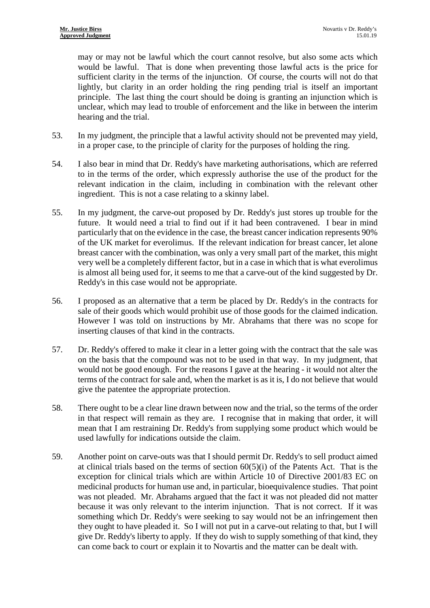may or may not be lawful which the court cannot resolve, but also some acts which would be lawful. That is done when preventing those lawful acts is the price for sufficient clarity in the terms of the injunction. Of course, the courts will not do that lightly, but clarity in an order holding the ring pending trial is itself an important principle. The last thing the court should be doing is granting an injunction which is unclear, which may lead to trouble of enforcement and the like in between the interim hearing and the trial.

- 53. In my judgment, the principle that a lawful activity should not be prevented may yield, in a proper case, to the principle of clarity for the purposes of holding the ring.
- 54. I also bear in mind that Dr. Reddy's have marketing authorisations, which are referred to in the terms of the order, which expressly authorise the use of the product for the relevant indication in the claim, including in combination with the relevant other ingredient. This is not a case relating to a skinny label.
- 55. In my judgment, the carve-out proposed by Dr. Reddy's just stores up trouble for the future. It would need a trial to find out if it had been contravened. I bear in mind particularly that on the evidence in the case, the breast cancer indication represents 90% of the UK market for everolimus. If the relevant indication for breast cancer, let alone breast cancer with the combination, was only a very small part of the market, this might very well be a completely different factor, but in a case in which that is what everolimus is almost all being used for, it seems to me that a carve-out of the kind suggested by Dr. Reddy's in this case would not be appropriate.
- 56. I proposed as an alternative that a term be placed by Dr. Reddy's in the contracts for sale of their goods which would prohibit use of those goods for the claimed indication. However I was told on instructions by Mr. Abrahams that there was no scope for inserting clauses of that kind in the contracts.
- 57. Dr. Reddy's offered to make it clear in a letter going with the contract that the sale was on the basis that the compound was not to be used in that way. In my judgment, that would not be good enough. For the reasons I gave at the hearing - it would not alter the terms of the contract for sale and, when the market is as it is, I do not believe that would give the patentee the appropriate protection.
- 58. There ought to be a clear line drawn between now and the trial, so the terms of the order in that respect will remain as they are. I recognise that in making that order, it will mean that I am restraining Dr. Reddy's from supplying some product which would be used lawfully for indications outside the claim.
- 59. Another point on carve-outs was that I should permit Dr. Reddy's to sell product aimed at clinical trials based on the terms of section  $60(5)(i)$  of the Patents Act. That is the exception for clinical trials which are within Article 10 of Directive 2001/83 EC on medicinal products for human use and, in particular, bioequivalence studies. That point was not pleaded. Mr. Abrahams argued that the fact it was not pleaded did not matter because it was only relevant to the interim injunction. That is not correct. If it was something which Dr. Reddy's were seeking to say would not be an infringement then they ought to have pleaded it. So I will not put in a carve-out relating to that, but I will give Dr. Reddy's liberty to apply. If they do wish to supply something of that kind, they can come back to court or explain it to Novartis and the matter can be dealt with.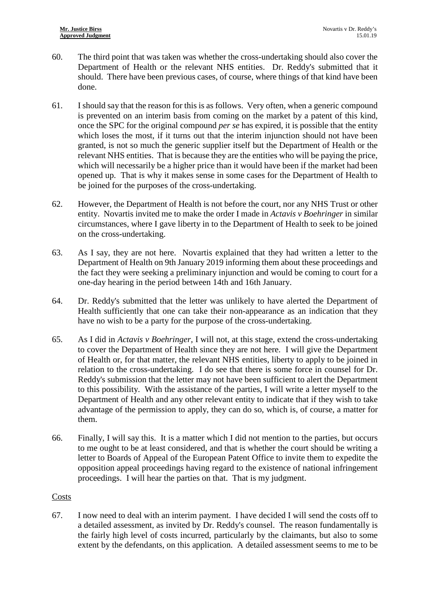- 60. The third point that was taken was whether the cross-undertaking should also cover the Department of Health or the relevant NHS entities. Dr. Reddy's submitted that it should. There have been previous cases, of course, where things of that kind have been done.
- 61. I should say that the reason for this is as follows. Very often, when a generic compound is prevented on an interim basis from coming on the market by a patent of this kind, once the SPC for the original compound *per se* has expired, it is possible that the entity which loses the most, if it turns out that the interim injunction should not have been granted, is not so much the generic supplier itself but the Department of Health or the relevant NHS entities. That is because they are the entities who will be paying the price, which will necessarily be a higher price than it would have been if the market had been opened up. That is why it makes sense in some cases for the Department of Health to be joined for the purposes of the cross-undertaking.
- 62. However, the Department of Health is not before the court, nor any NHS Trust or other entity. Novartis invited me to make the order I made in *Actavis v Boehringer* in similar circumstances, where I gave liberty in to the Department of Health to seek to be joined on the cross-undertaking.
- 63. As I say, they are not here. Novartis explained that they had written a letter to the Department of Health on 9th January 2019 informing them about these proceedings and the fact they were seeking a preliminary injunction and would be coming to court for a one-day hearing in the period between 14th and 16th January.
- 64. Dr. Reddy's submitted that the letter was unlikely to have alerted the Department of Health sufficiently that one can take their non-appearance as an indication that they have no wish to be a party for the purpose of the cross-undertaking.
- 65. As I did in *Actavis v Boehringer,* I will not, at this stage, extend the cross-undertaking to cover the Department of Health since they are not here. I will give the Department of Health or, for that matter, the relevant NHS entities, liberty to apply to be joined in relation to the cross-undertaking. I do see that there is some force in counsel for Dr. Reddy's submission that the letter may not have been sufficient to alert the Department to this possibility. With the assistance of the parties, I will write a letter myself to the Department of Health and any other relevant entity to indicate that if they wish to take advantage of the permission to apply, they can do so, which is, of course, a matter for them.
- 66. Finally, I will say this. It is a matter which I did not mention to the parties, but occurs to me ought to be at least considered, and that is whether the court should be writing a letter to Boards of Appeal of the European Patent Office to invite them to expedite the opposition appeal proceedings having regard to the existence of national infringement proceedings. I will hear the parties on that. That is my judgment.

## Costs

67. I now need to deal with an interim payment. I have decided I will send the costs off to a detailed assessment, as invited by Dr. Reddy's counsel. The reason fundamentally is the fairly high level of costs incurred, particularly by the claimants, but also to some extent by the defendants, on this application. A detailed assessment seems to me to be